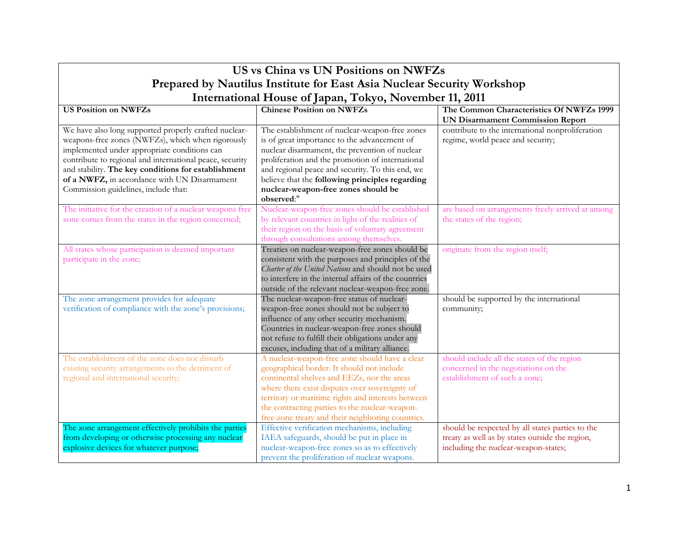| US vs China vs UN Positions on NWFZs                                   |                                                                                          |                                                   |  |
|------------------------------------------------------------------------|------------------------------------------------------------------------------------------|---------------------------------------------------|--|
| Prepared by Nautilus Institute for East Asia Nuclear Security Workshop |                                                                                          |                                                   |  |
| International House of Japan, Tokyo, November 11, 2011                 |                                                                                          |                                                   |  |
| <b>US Position on NWFZs</b>                                            | <b>Chinese Position on NWFZs</b>                                                         | The Common Characteristics Of NWFZs 1999          |  |
|                                                                        |                                                                                          | <b>UN Disarmament Commission Report</b>           |  |
| We have also long supported properly crafted nuclear-                  | The establishment of nuclear-weapon-free zones                                           | contribute to the international nonproliferation  |  |
| weapons-free zones (NWFZs), which when rigorously                      | is of great importance to the advancement of                                             | regime, world peace and security;                 |  |
| implemented under appropriate conditions can                           | nuclear disarmament, the prevention of nuclear                                           |                                                   |  |
| contribute to regional and international peace, security               | proliferation and the promotion of international                                         |                                                   |  |
| and stability. The key conditions for establishment                    | and regional peace and security. To this end, we                                         |                                                   |  |
| of a NWFZ, in accordance with UN Disarmament                           | believe that the following principles regarding                                          |                                                   |  |
| Commission guidelines, include that:                                   | nuclear-weapon-free zones should be                                                      |                                                   |  |
|                                                                        | observed:"                                                                               |                                                   |  |
| The initiative for the creation of a nuclear weapons free              | Nuclear-weapon-free zones should be established                                          | are based on arrangements freely arrived at among |  |
| zone comes from the states in the region concerned;                    | by relevant countries in light of the realities of                                       | the states of the region;                         |  |
|                                                                        | their region on the basis of voluntary agreement                                         |                                                   |  |
|                                                                        | through consultations among themselves.                                                  |                                                   |  |
| All states whose participation is deemed important                     | Treaties on nuclear-weapon-free zones should be                                          | originate from the region itself;                 |  |
| participate in the zone;                                               | consistent with the purposes and principles of the                                       |                                                   |  |
|                                                                        | Charter of the United Nations and should not be used                                     |                                                   |  |
|                                                                        | to interfere in the internal affairs of the countries                                    |                                                   |  |
|                                                                        | outside of the relevant nuclear-weapon-free zone.                                        |                                                   |  |
| The zone arrangement provides for adequate                             | The nuclear-weapon-free status of nuclear-<br>weapon-free zones should not be subject to | should be supported by the international          |  |
| verification of compliance with the zone's provisions;                 | influence of any other security mechanism.                                               | community;                                        |  |
|                                                                        | Countries in nuclear-weapon-free zones should                                            |                                                   |  |
|                                                                        | not refuse to fulfill their obligations under any                                        |                                                   |  |
|                                                                        | excuses, including that of a military alliance.                                          |                                                   |  |
| The establishment of the zone does not disturb                         | A nuclear-weapon-free zone should have a clear                                           | should include all the states of the region       |  |
| existing security arrangements to the detriment of                     | geographical border. It should not include                                               | concerned in the negotiations on the              |  |
| regional and international security;                                   | continental shelves and EEZs, nor the areas                                              | establishment of such a zone;                     |  |
|                                                                        | where there exist disputes over sovereignty of                                           |                                                   |  |
|                                                                        | territory or maritime rights and interests between                                       |                                                   |  |
|                                                                        | the contracting parties to the nuclear-weapon-                                           |                                                   |  |
|                                                                        | free-zone treaty and their neighboring countries.                                        |                                                   |  |
| The zone arrangement effectively prohibits the parties                 | Effective verification mechanisms, including                                             | should be respected by all states parties to the  |  |
| from developing or otherwise processing any nuclear                    | IAEA safeguards, should be put in place in                                               | treaty as well as by states outside the region,   |  |
| explosive devices for whatever purpose;                                | nuclear-weapon-free zones so as to effectively                                           | including the nuclear-weapon-states;              |  |
|                                                                        | prevent the proliferation of nuclear weapons.                                            |                                                   |  |

 $\Gamma$ 

٦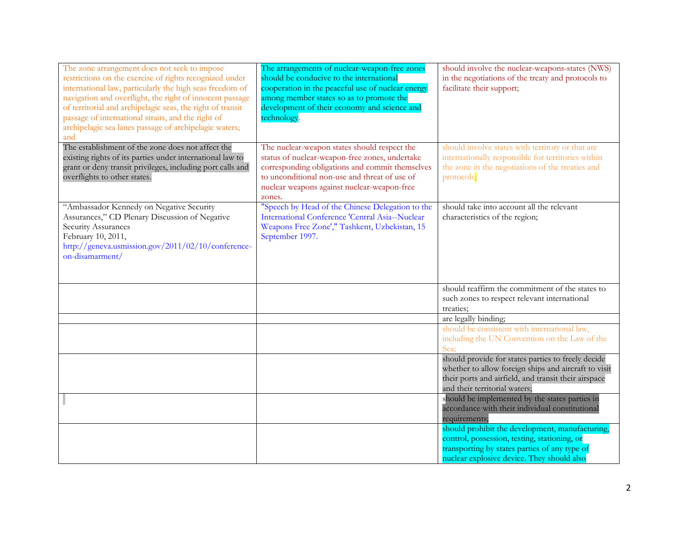| The zone arrangement does not seek to impose<br>restrictions on the exercise of rights recognized under<br>international law, particularly the high seas freedom of<br>navigation and overflight, the right of innocent passage<br>of territorial and archipelagic seas, the right of transit<br>passage of international straits, and the right of<br>archipelagic sea lanes passage of archipelagic waters;<br>and | The arrangements of nuclear-weapon-free zones<br>should be conducive to the international<br>cooperation in the peaceful use of nuclear energy<br>among member states so as to promote the<br>development of their economy and science and<br>technology.   | should involve the nuclear-weapons-states (NWS)<br>in the negotiations of the treaty and protocols to<br>facilitate their support;                                                                  |
|----------------------------------------------------------------------------------------------------------------------------------------------------------------------------------------------------------------------------------------------------------------------------------------------------------------------------------------------------------------------------------------------------------------------|-------------------------------------------------------------------------------------------------------------------------------------------------------------------------------------------------------------------------------------------------------------|-----------------------------------------------------------------------------------------------------------------------------------------------------------------------------------------------------|
| The establishment of the zone does not affect the<br>existing rights of its parties under international law to<br>grant or deny transit privileges, including port calls and<br>overflights to other states.                                                                                                                                                                                                         | The nuclear-weapon states should respect the<br>status of nuclear-weapon-free zones, undertake<br>corresponding obligations and commit themselves<br>to unconditional non-use and threat of use of<br>nuclear weapons against nuclear-weapon-free<br>zones. | should involve states with territory or that are<br>internationally responsible for territories within<br>the zone in the negotiations of the treaties and<br>protocols;                            |
| "Ambassador Kennedy on Negative Security<br>Assurances," CD Plenary Discussion of Negative<br>Security Assurances<br>February 10, 2011,<br>http://geneva.usmission.gov/2011/02/10/conference-<br>on-disamarment/                                                                                                                                                                                                     | "Speech by Head of the Chinese Delegation to the<br>International Conference 'Central Asia--Nuclear<br>Weapons Free Zone'," Tashkent, Uzbekistan, 15<br>September 1997.                                                                                     | should take into account all the relevant<br>characteristics of the region;                                                                                                                         |
|                                                                                                                                                                                                                                                                                                                                                                                                                      |                                                                                                                                                                                                                                                             | should reaffirm the commitment of the states to<br>such zones to respect relevant international<br>treaties;                                                                                        |
|                                                                                                                                                                                                                                                                                                                                                                                                                      |                                                                                                                                                                                                                                                             | are legally binding;                                                                                                                                                                                |
|                                                                                                                                                                                                                                                                                                                                                                                                                      |                                                                                                                                                                                                                                                             | should be consistent with international law,<br>including the UN Convention on the Law of the<br>Sea:                                                                                               |
|                                                                                                                                                                                                                                                                                                                                                                                                                      |                                                                                                                                                                                                                                                             | should provide for states parties to freely decide<br>whether to allow foreign ships and aircraft to visit<br>their ports and airfield, and transit their airspace<br>and their territorial waters; |
|                                                                                                                                                                                                                                                                                                                                                                                                                      |                                                                                                                                                                                                                                                             | should be implemented by the states parties in<br>accordance with their individual constitutional<br>requirements;                                                                                  |
|                                                                                                                                                                                                                                                                                                                                                                                                                      |                                                                                                                                                                                                                                                             | should prohibit the development, manufacturing,<br>control, possession, testing, stationing, or<br>transporting by states parties of any type of<br>nuclear explosive device. They should also      |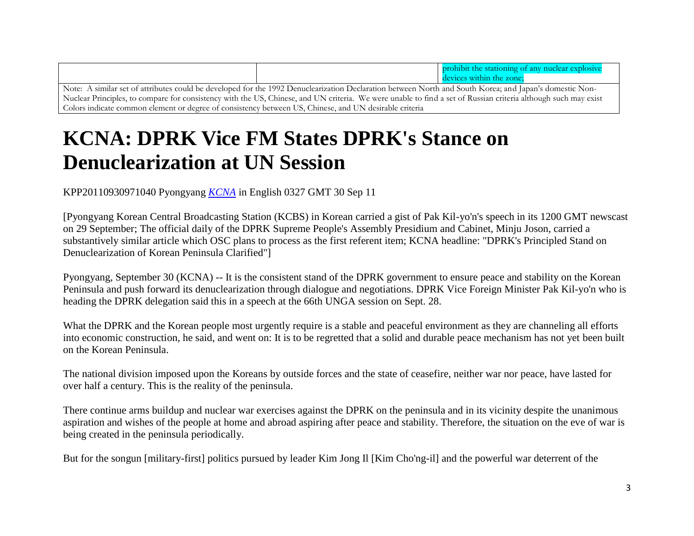|                                                                                                                                                                |  | prohibit the stationing of any nuclear explosive |
|----------------------------------------------------------------------------------------------------------------------------------------------------------------|--|--------------------------------------------------|
|                                                                                                                                                                |  | devices within the zone:                         |
| Note: A similar set of attributes could be developed for the 1992 Denuclearization Declaration between North and South Korea; and Japan's domestic Non-        |  |                                                  |
| Nuclear Principles, to compare for consistency with the US, Chinese, and UN criteria. We were unable to find a set of Russian criteria although such may exist |  |                                                  |
| Colors indicate common element or degree of consistency between US, Chinese, and UN desirable criteria                                                         |  |                                                  |

## **KCNA: DPRK Vice FM States DPRK's Stance on Denuclearization at UN Session**

KPP20110930971040 Pyongyang *[KCNA](https://www.opensource.gov/wiki/display/nmp/KCNA)* in English 0327 GMT 30 Sep 11

[Pyongyang Korean Central Broadcasting Station (KCBS) in Korean carried a gist of Pak Kil-yo'n's speech in its 1200 GMT newscast on 29 September; The official daily of the DPRK Supreme People's Assembly Presidium and Cabinet, Minju Joson, carried a substantively similar article which OSC plans to process as the first referent item; KCNA headline: "DPRK's Principled Stand on Denuclearization of Korean Peninsula Clarified"]

Pyongyang, September 30 (KCNA) -- It is the consistent stand of the DPRK government to ensure peace and stability on the Korean Peninsula and push forward its denuclearization through dialogue and negotiations. DPRK Vice Foreign Minister Pak Kil-yo'n who is heading the DPRK delegation said this in a speech at the 66th UNGA session on Sept. 28.

What the DPRK and the Korean people most urgently require is a stable and peaceful environment as they are channeling all efforts into economic construction, he said, and went on: It is to be regretted that a solid and durable peace mechanism has not yet been built on the Korean Peninsula.

The national division imposed upon the Koreans by outside forces and the state of ceasefire, neither war nor peace, have lasted for over half a century. This is the reality of the peninsula.

There continue arms buildup and nuclear war exercises against the DPRK on the peninsula and in its vicinity despite the unanimous aspiration and wishes of the people at home and abroad aspiring after peace and stability. Therefore, the situation on the eve of war is being created in the peninsula periodically.

But for the songun [military-first] politics pursued by leader Kim Jong Il [Kim Cho'ng-il] and the powerful war deterrent of the